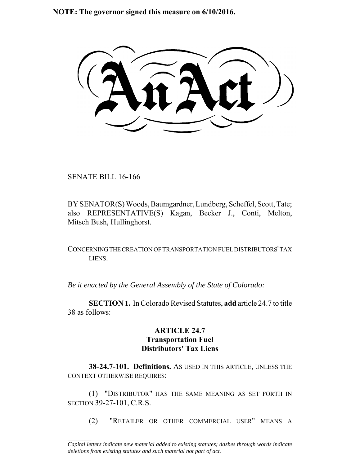**NOTE: The governor signed this measure on 6/10/2016.**

SENATE BILL 16-166

 $\frac{1}{2}$ 

BY SENATOR(S) Woods, Baumgardner, Lundberg, Scheffel, Scott, Tate; also REPRESENTATIVE(S) Kagan, Becker J., Conti, Melton, Mitsch Bush, Hullinghorst.

CONCERNING THE CREATION OF TRANSPORTATION FUEL DISTRIBUTORS' TAX LIENS.

*Be it enacted by the General Assembly of the State of Colorado:*

**SECTION 1.** In Colorado Revised Statutes, **add** article 24.7 to title 38 as follows:

## **ARTICLE 24.7 Transportation Fuel Distributors' Tax Liens**

**38-24.7-101. Definitions.** AS USED IN THIS ARTICLE, UNLESS THE CONTEXT OTHERWISE REQUIRES:

(1) "DISTRIBUTOR" HAS THE SAME MEANING AS SET FORTH IN SECTION 39-27-101, C.R.S.

(2) "RETAILER OR OTHER COMMERCIAL USER" MEANS A

*Capital letters indicate new material added to existing statutes; dashes through words indicate deletions from existing statutes and such material not part of act.*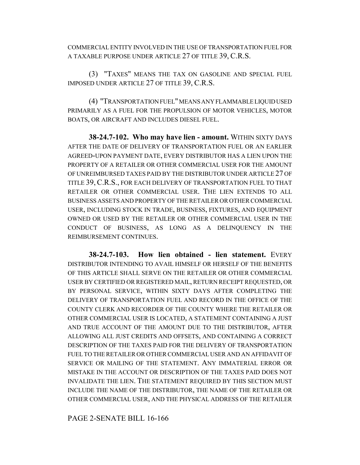COMMERCIAL ENTITY INVOLVED IN THE USE OF TRANSPORTATION FUEL FOR A TAXABLE PURPOSE UNDER ARTICLE 27 OF TITLE 39, C.R.S.

(3) "TAXES" MEANS THE TAX ON GASOLINE AND SPECIAL FUEL IMPOSED UNDER ARTICLE 27 OF TITLE 39, C.R.S.

(4) "TRANSPORTATION FUEL" MEANS ANY FLAMMABLE LIQUID USED PRIMARILY AS A FUEL FOR THE PROPULSION OF MOTOR VEHICLES, MOTOR BOATS, OR AIRCRAFT AND INCLUDES DIESEL FUEL.

**38-24.7-102. Who may have lien - amount.** WITHIN SIXTY DAYS AFTER THE DATE OF DELIVERY OF TRANSPORTATION FUEL OR AN EARLIER AGREED-UPON PAYMENT DATE, EVERY DISTRIBUTOR HAS A LIEN UPON THE PROPERTY OF A RETAILER OR OTHER COMMERCIAL USER FOR THE AMOUNT OF UNREIMBURSED TAXES PAID BY THE DISTRIBUTOR UNDER ARTICLE 27 OF TITLE 39, C.R.S., FOR EACH DELIVERY OF TRANSPORTATION FUEL TO THAT RETAILER OR OTHER COMMERCIAL USER. THE LIEN EXTENDS TO ALL BUSINESS ASSETS AND PROPERTY OF THE RETAILER OR OTHER COMMERCIAL USER, INCLUDING STOCK IN TRADE, BUSINESS, FIXTURES, AND EQUIPMENT OWNED OR USED BY THE RETAILER OR OTHER COMMERCIAL USER IN THE CONDUCT OF BUSINESS, AS LONG AS A DELINQUENCY IN THE REIMBURSEMENT CONTINUES.

**38-24.7-103. How lien obtained - lien statement.** EVERY DISTRIBUTOR INTENDING TO AVAIL HIMSELF OR HERSELF OF THE BENEFITS OF THIS ARTICLE SHALL SERVE ON THE RETAILER OR OTHER COMMERCIAL USER BY CERTIFIED OR REGISTERED MAIL, RETURN RECEIPT REQUESTED, OR BY PERSONAL SERVICE, WITHIN SIXTY DAYS AFTER COMPLETING THE DELIVERY OF TRANSPORTATION FUEL AND RECORD IN THE OFFICE OF THE COUNTY CLERK AND RECORDER OF THE COUNTY WHERE THE RETAILER OR OTHER COMMERCIAL USER IS LOCATED, A STATEMENT CONTAINING A JUST AND TRUE ACCOUNT OF THE AMOUNT DUE TO THE DISTRIBUTOR, AFTER ALLOWING ALL JUST CREDITS AND OFFSETS, AND CONTAINING A CORRECT DESCRIPTION OF THE TAXES PAID FOR THE DELIVERY OF TRANSPORTATION FUEL TO THE RETAILER OR OTHER COMMERCIAL USER AND AN AFFIDAVIT OF SERVICE OR MAILING OF THE STATEMENT. ANY IMMATERIAL ERROR OR MISTAKE IN THE ACCOUNT OR DESCRIPTION OF THE TAXES PAID DOES NOT INVALIDATE THE LIEN. THE STATEMENT REQUIRED BY THIS SECTION MUST INCLUDE THE NAME OF THE DISTRIBUTOR, THE NAME OF THE RETAILER OR OTHER COMMERCIAL USER, AND THE PHYSICAL ADDRESS OF THE RETAILER

PAGE 2-SENATE BILL 16-166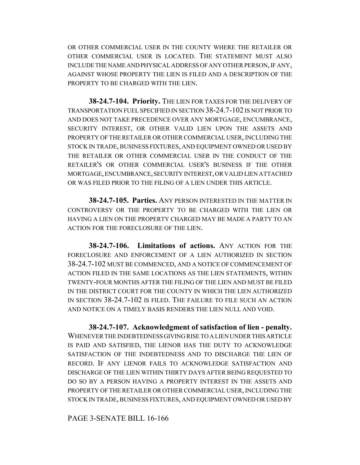OR OTHER COMMERCIAL USER IN THE COUNTY WHERE THE RETAILER OR OTHER COMMERCIAL USER IS LOCATED. THE STATEMENT MUST ALSO INCLUDE THE NAME AND PHYSICAL ADDRESS OF ANY OTHER PERSON, IF ANY, AGAINST WHOSE PROPERTY THE LIEN IS FILED AND A DESCRIPTION OF THE PROPERTY TO BE CHARGED WITH THE LIEN.

**38-24.7-104. Priority.** THE LIEN FOR TAXES FOR THE DELIVERY OF TRANSPORTATION FUEL SPECIFIED IN SECTION 38-24.7-102 IS NOT PRIOR TO AND DOES NOT TAKE PRECEDENCE OVER ANY MORTGAGE, ENCUMBRANCE, SECURITY INTEREST, OR OTHER VALID LIEN UPON THE ASSETS AND PROPERTY OF THE RETAILER OR OTHER COMMERCIAL USER, INCLUDING THE STOCK IN TRADE, BUSINESS FIXTURES, AND EQUIPMENT OWNED OR USED BY THE RETAILER OR OTHER COMMERCIAL USER IN THE CONDUCT OF THE RETAILER'S OR OTHER COMMERCIAL USER'S BUSINESS IF THE OTHER MORTGAGE, ENCUMBRANCE, SECURITY INTEREST, OR VALID LIEN ATTACHED OR WAS FILED PRIOR TO THE FILING OF A LIEN UNDER THIS ARTICLE.

**38-24.7-105. Parties.** ANY PERSON INTERESTED IN THE MATTER IN CONTROVERSY OR THE PROPERTY TO BE CHARGED WITH THE LIEN OR HAVING A LIEN ON THE PROPERTY CHARGED MAY BE MADE A PARTY TO AN ACTION FOR THE FORECLOSURE OF THE LIEN.

**38-24.7-106. Limitations of actions.** ANY ACTION FOR THE FORECLOSURE AND ENFORCEMENT OF A LIEN AUTHORIZED IN SECTION 38-24.7-102 MUST BE COMMENCED, AND A NOTICE OF COMMENCEMENT OF ACTION FILED IN THE SAME LOCATIONS AS THE LIEN STATEMENTS, WITHIN TWENTY-FOUR MONTHS AFTER THE FILING OF THE LIEN AND MUST BE FILED IN THE DISTRICT COURT FOR THE COUNTY IN WHICH THE LIEN AUTHORIZED IN SECTION 38-24.7-102 IS FILED. THE FAILURE TO FILE SUCH AN ACTION AND NOTICE ON A TIMELY BASIS RENDERS THE LIEN NULL AND VOID.

**38-24.7-107. Acknowledgment of satisfaction of lien - penalty.** WHENEVER THE INDEBTEDNESS GIVING RISE TO A LIEN UNDER THIS ARTICLE IS PAID AND SATISFIED, THE LIENOR HAS THE DUTY TO ACKNOWLEDGE SATISFACTION OF THE INDEBTEDNESS AND TO DISCHARGE THE LIEN OF RECORD. IF ANY LIENOR FAILS TO ACKNOWLEDGE SATISFACTION AND DISCHARGE OF THE LIEN WITHIN THIRTY DAYS AFTER BEING REQUESTED TO DO SO BY A PERSON HAVING A PROPERTY INTEREST IN THE ASSETS AND PROPERTY OF THE RETAILER OR OTHER COMMERCIAL USER, INCLUDING THE STOCK IN TRADE, BUSINESS FIXTURES, AND EQUIPMENT OWNED OR USED BY

PAGE 3-SENATE BILL 16-166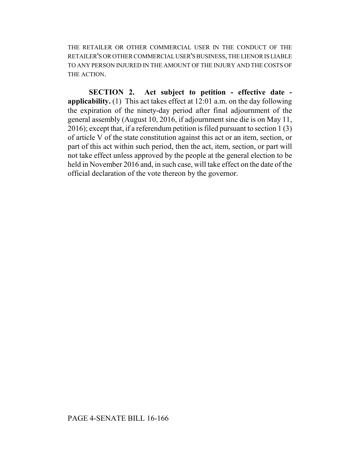THE RETAILER OR OTHER COMMERCIAL USER IN THE CONDUCT OF THE RETAILER'S OR OTHER COMMERCIAL USER'S BUSINESS, THE LIENOR IS LIABLE TO ANY PERSON INJURED IN THE AMOUNT OF THE INJURY AND THE COSTS OF THE ACTION.

**SECTION 2. Act subject to petition - effective date applicability.** (1) This act takes effect at 12:01 a.m. on the day following the expiration of the ninety-day period after final adjournment of the general assembly (August 10, 2016, if adjournment sine die is on May 11, 2016); except that, if a referendum petition is filed pursuant to section 1 (3) of article V of the state constitution against this act or an item, section, or part of this act within such period, then the act, item, section, or part will not take effect unless approved by the people at the general election to be held in November 2016 and, in such case, will take effect on the date of the official declaration of the vote thereon by the governor.